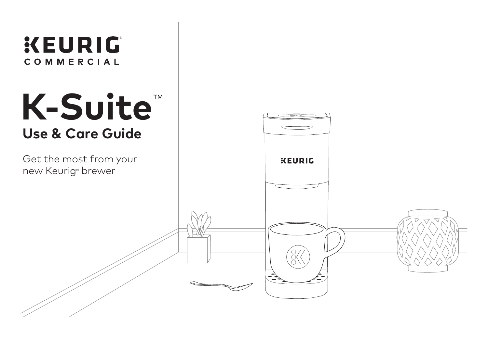# **KEURIG** COMMERCIAL **K-Suite**™**Use & Care Guide** Get the most from your **KEURIG** new Keurig® brewer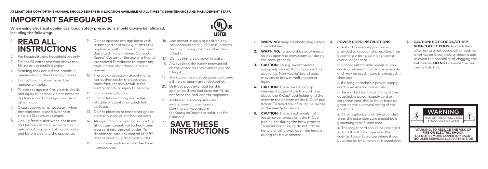## **IMPORTANT SAFEGUARDS**

When using electrical appliances, basic safety precautions should always be followed. including the following:

### **READ ALL INSTRUCTIONS** 1.

- 2. For hospitality and household use only.
- 3. Do not fill water reservoir above max fill line or use distilled water.
- 4. Scalding may occur if the handle is opened during the brewing process.
- 5. Do not touch hot surfaces. Use handles or knobs.
- 6. To protect against fire, electric shock, and injury to persons do not immerse appliance, cord, or plugs in water or other liquid.
- 7. Close supervision is necessary when any appliance is used by or near children 12 years or younger.
- 8. Unplug from outlet when not in use and before cleaning. Allow to cool before putting on or taking off parts, and before cleaning the appliance.

9. Do not operate any appliance with a damaged cord or plug or after the appliance malfunctions, or has been damaged in any manner. Contact Keurig® Customer Service or a Keurig® Authorized Distributor to report any malfunction of or damage to the brewer.

- 10. The use of accessory attachments not authorized by the appliance manufacturer may result in fire, electric shock, or injury to persons.
- 11. Do not use outdoors.
- 12. Do not let cord hang over edge of table or counter, or touch hot surfaces.
- 13. Do not place on or near a hot aas or electric burner, or in a heated oven.
- 14. Always attach plug to appliance first (if not permanently attached), then plug cord into the wall outlet. To disconnect, turn any control to ″off″ then remove plug from wall outlet.
- 15. Do not use appliance for other than intended use.
- 16. Use brewer in upright position only. Allow brewer to cool (90 min) prior to turning it in any position other than upright.
- 17. Do not immerse brewer in water.
- 18. Always keep the water reservoir lid on the water reservoir unless you are filling it.
- 19. The appliance must be grounded using a 3-hole properly grounded outlet.
- 20. Only use pods intended for this appliance. If the pod does not fit, do not force the pod into the appliance.
- 21. Additional cleaning and care instructions can be found at Commercial.Keurig.com (or Keurig.ca/business-solutions for Canada).
- 22. **SAVE THESE INSTRUCTIONS**
- **WARNING:** Keep all plastic bags away from children.
- **2. WARNING:** To avoid the risk of injury, do not open the brew chamber during the brew process.
- **3. CAUTION: Keurig<sup>®</sup> recommends** using only Keurig® K-Cup® pods in this appliance. Non-Keurig® brand pods may cause brewer malfunction or injury.
- **4. CAUTION:** There are two sharp needles that puncture the pod, one above the K-Cup® pod holder and the other in the bottom of the K-Cup® pod holder. To avoid risk of injury, be aware of the needle locations.
- **5. CAUTION:** There is extremely hot water under pressure in the K-Cup® pod holder during the brew process. To avoid risk of injury do not lift the handle or otherwise open the handle during the brew process.
- **6. POWER CORD INSTRUCTIONS:** a. A short power-supply cord is provided to reduce risks resulting from becoming entangled in or tripping over a longer cord.
- b. Longer detachable power-supply cords or extension cords are available and may be used if care is exercised in their use.

c. If a long detachable power-supply cord or extension cord is used:

- i. The marked electrical rating of the detachable power-supply cord or extension cord should be at least as great as the electrical rating of the appliance.
- ii. If the appliance is of the grounded type, the extension cord should be a grounding type 3-wire cord.
- iii. The longer cord should be arranged so that it will not drape over the counter top or table top where it can be pulled on by children or tripped over.

**7. CAUTION: HOT COCOA/OTHER NON-COFFEE PODS:** Immediately after using a hot cocoa/other pod, run a hot water brew cycle without a pod to avoid the possibility of clogging the exit needle. **DO NOT** assume the next user will do this.



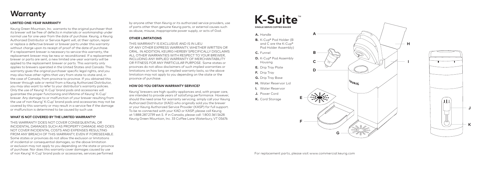### **Warranty**

#### **LIMITED ONE-YEAR WARRANTY**

Keurig Green Mountain, Inc. warrants to the original purchaser that its brewer will be free of defects in materials or workmanship under normal use for one-year from the date of purchase. Keurig, a Keurig Authorized Distributor or Service Agent will, at their option, repair or replace a defective brewer or brewer parts under this warranty without charge upon its receipt of proof of the date of purchase. If a replacement brewer is necessary to service this warranty, the replacement brewer may be new or reconditioned. If a replacement brewer or parts are sent, a new limited one-year warranty will be applied to the replacement brewer or parts. This warranty only applies to brewers operated in the United States and Canada. This warranty gives the original purchaser specific legal rights, and you may also have other rights that vary from state to state and, in the case of Canada, from province to province. If you obtained this brewer through sale or rental from a Keurig Authorized Distributor, you may also want to refer to your distributor's warranty policies. Only the use of Keurig® K-Cup® brand pods and accessories will guarantee the proper functioning and lifetime of Keurig ® K-Cup ® brewer. Any damage to or malfunction of your brewer resulting from the use of non Keurig ® K-Cup ® brand pods and accessories may not be covered by this warranty or may result in a service fee if the damage or malfunction is determined to be caused by such use.

#### **WHAT IS NOT COVERED BY THE LIMITED WARRANTY?**

THIS WARRANTY DOES NOT COVER CONSEQUENTIAL OR INCIDENTAL DAMAGES SUCH AS PROPERTY DAMAGE AND DOES NOT COVER INCIDENTAL COSTS AND EXPENSES RESULTING FROM ANY BREACH OF THIS WARRANTY, EVEN IF FORESEEABLE. Some states or provinces do not allow the exclusion or limitations of incidental or consequential damages, so the above limitation or exclusion may not apply to you depending on the state or province of purchase. Nor does this warranty cover damages caused by use of non Keurig ® K-Cup ® brand pods or accessories, services performed

by anyone other than Keurig or its authorized service providers, use of parts other than genuine Keurig parts, or external causes such as abuse, misuse, inappropriate power supply, or acts of God.

#### **OTHER LIMITATIONS**

THIS WARRANTY IS EXCLUSIVE AND IS IN LIEU OF ANY OTHER EXPRESS WARRANTY, WHETHER WRITTEN OR ORAL. IN ADDITION, KEURIG HEREBY SPECIFICALLY DISCLAIMS ALL OTHER WARRANTIES WITH RESPECT TO YOUR BREWER, INCLUDING ANY IMPLIED WARRANTY OF MERCHANTABILITY OR FITNESS FOR ANY PARTICULAR PURPOSE. Some states or provinces do not allow disclaimers of such implied warranties or limitations on how long an implied warranty lasts, so the above limitation may not apply to you depending on the state or the province of purchase.

#### **HOW DO YOU OBTAIN WARRANTY SERVICE?**

Keurig ® brewers are high-quality appliances and, with proper care, are intended to provide years of satisfying performance. However, should the need arise for warranty servicing; simply call your Keurig Authorized Distributor (KAD) who originally sold you the brewer or your Keurig Authorized Service Provider (KASP) for full support. To be re-connected with your KAD or KASP, please call Keurig at 1.888.287.2739 ext.5. If in Canada, please call: 1.800.361.5628. Keurig Green Mountain, Inc. 33 Coffee Lane Waterbury, VT 05676

## **K-Suite** ™







**HI**

 $\mathbf{H}$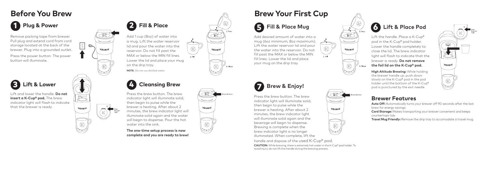## **Before You Brew**

Remove packing tape from brewer. Pull plug and extend cord from cord storage located at the back of the brewer. Plug into a grounded outlet. Press the power button. The power button will illuminate. 1 em ull correv res ut<br>
13<br>
3

Lift and lower the handle. **Do not insert a K-Cup® pod.** The brew indicator light will flash to indicate that the brewer is ready.



 $\boxed{5}$  $\mathbb{Z}$ 

KELIRIG



Add 1 cup (8oz) of water into a mug. Lift the water reservoir lid and pour the water into the reservoir. Do not fill past the MAX or below the MIN fill lines. Lower the lid and place your mug on the drip tray. **NOTE:** Do not use distilled water. 24

### Lift & Lower  $\left(\begin{matrix} 1 \end{matrix}\right)$  **Cleansing Brew**

Press the brew button. The brew indicator light will illuminate solid, then begin to pulse while the brewer is heating. After about 2 minutes, the brew indicator light will illuminate solid again and the water will begin to dispense. Pour the hot water into the sink.

**The one-time setup process is now complete and you are ready to brew!**



### 6 **Fill & Place Mug**

Add desired amount of water into a mug (6oz minimum, 8oz maximum). Lift the water reservoir lid and pour the water into the reservoir. Do not fill past the MAX or below the MIN fill lines. Lower the lid and place your mug on the drip tray.



Brew Button

3 Place

KEURIG

KELLRIG

1. Fill

Press the brew button. The brew indicator light will illuminate solid, then begin to pulse while the brewer is heating. After about 2 minutes, the brew indicator light will illuminate solid again and the beverage will begin to dispense. Brewing is complete when the brew indicator light is no longer illuminated. When complete, lift the

handle and dispose of the used K-Cup® pod. **CAUTION:** While brewing, there is extremely hot water in the K-Cup® pod holder. To avoid injury, do not lift the handle during the brewing process.

### 6 **Lift & Place Pod**

Lift the handle. Place a K-Cup® pod in the K-Cup® pod holder. Lower the handle completely to close the lid. The brew indicator light will flash to indicate that the brewer is ready. **Do not remove the foil lid on the K-Cup® pod.** 

**High Altitude Brewing:** While holding the brewer handle up, push down slowly on the K-Cup® pod in the pod holder until the bottom of the K-Cup® pod is punctured by the exit needle.

### **Brewer Features**

Brew Button

3. Place

KEURIG

1. Fill

KEURIG

**Auto Off:** Automatically turns your brewer off 90 seconds after the last brew for energy savings.

STRONG

KEURIG

**Cord Storage:** Makes transporting your brewer convenient and keeps countertops tidy.

**Travel Mug Friendly:** Remove the drip tray to accomodate a travel mug.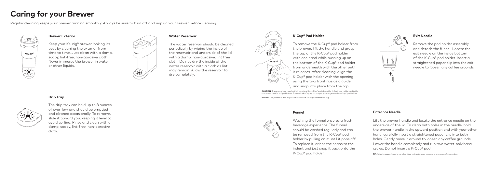### **Caring for your Brewer**

**Drip Tray**

Regular cleaning keeps your brewer running smoothly. Always be sure to turn off and unplug your brewer before cleaning.



#### **Brewer Exterior**

Keep your Keurig® brewer looking its best by cleaning the exterior from time to time. Just clean with a damp, soapy, lint-free, non-abrasive cloth. Never immerse the brewer in water or other liquids.



The water reservoir should be cleaned periodically by wiping the inside of the reservoir and underside of the lid with a damp, non-abrasive, lint free cloth. Do not dry the inside of the water reservoir with a cloth as lint may remain. Allow the reservoir to dry completely.



To remove the K-Cup® pod holder from the brewer, lift the handle and grasp the top of the K-Cup® pod holder with one hand while pushing up on the bottom of the K-Cup® pod holder from underneath with the other until it releases. After cleaning, align the K-Cup® pod holder with the opening using the two front ribs as a guide and snap into place from the top.

CAUTION: There are sharp needles that puncture the K-Cup® pod above the K-Cup® pod holder and in the bottom of the K-Cup® pod holder. To avoid risk of injury, do not put your fingers in the K-Cup® pod holder.

NOTE: Always remove and dispose of the used K-Cup® pod after brewing.

#### **Funnel**



Washing the funnel ensures a fresh beverage experience. The funnel should be washed regularly and can be removed from the K-Cup® pod holder by pulling on it until it pops off. To replace it, orient the snaps to the indent and just snap it back onto the K-Cup® pod holder.

#### **Exit Needle**





The drip tray can hold up to 8 ounces of overflow and should be emptied and cleaned occasionally. To remove, slide it toward you, keeping it level to avoid spilling. Rinse and clean with a damp, soapy, lint-free, non-abrasive cloth.

#### **Entrance Needle**

Lift the brewer handle and locate the entrance needle on the underside of the lid. To clean both holes in the needle, hold the brewer handle in the upward position and with your other hand, carefully insert a straightened paper clip into both holes. Gently move it around to loosen any coffee grounds. Lower the handle completely and run two water-only brew cycles. Do not insert a K-Cup® pod.

TIP: Refer to support. keurig.com for video instructions on cleaning the entrance/exit needles.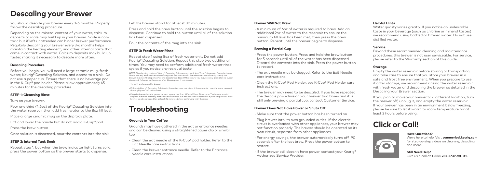### **Descaling your Brewer**

You should descale your brewer every 3-6 months. Properly follow the descaling procedure.

Depending on the mineral content of your water, calcium deposits or scale may build up in your brewer. Scale is nontoxic but if left unattended can hinder brewer performance. Regularly descaling your brewer every 3-6 months helps maintain the heating element, and other internal parts that come in contact with water. Calcium deposits may build up faster, making it necessary to descale more often.

#### **Descaling Procedure**

Before you begin, you will need a large ceramic mug, fresh water, Keurig® Descaling Solution, and access to a sink. Do not use a paper cup. Ensure that there is no beverage pod in the K-Cup® pod holder. Please allow approximately 45 minutes for the descaling procedure.

#### **STEP 1: Cleansing Rinse**

Turn on your brewer.

Pour one third (4.6oz) of the Keurig® Descaling Solution into the water reservoir then add fresh water to the 8oz fill level.

Place a large ceramic mug on the drip tray plate.

Lift and lower the handle but do not add a K-Cup® pod. Press the brew button.

Once solution is dispensed, pour the contents into the sink.

### **STEP 2: Internal Tank Soak**

Repeat step 1, but when the brew indicator light turns solid, press the power button as the brewer starts to dispense.

Let the brewer stand for at least 30 minutes.

Press and hold the brew button until the solution begins to dispense. Continue to hold the button until all of the solution has been dispensed.

Pour the contents of the mug into the sink.

### **STEP 3: Fresh Water Rinse**

Repeat step 1 using 8oz of fresh water only. Do not add Keurig® Descaling Solution. Repeat this step two additional times. You may need to perform additional fresh water rinse cycles if you notice any residual taste.

NOTE: The cleaning action of Keurig® Descaling Solution may result in a "foam" dispensed from the brewer. This is natural, as the solution is reacting with the scale inside. For a brewer that is heavily scaled, the brewer may not fill properly after the descaler is added. If this occurs, you may see only a small or no output dispensed, followed by the sound of air blowing out. If this occurs:

• Turn off and unplug the brewer.

• If there is Keurig® Descaling Solution in the water reservoir, discard the contents, rinse the water reservoir thoroughly and refill with water.

• Plug the brewer back in, power on, and repeat the Step 3 Fresh Water Rinse cycle. The brewer should begin to function normally as the solution is rinsed out and the scale is removed. If problem persists, allow brewer to sit unplugged for at least 30 minutes before continuing with the rinse.

## **Troubleshooting**

#### **Grounds in Your Coffee**

Grounds may have gathered in the exit or entrance needles and can be cleaned using a straightened paper clip or similar tool.

• Clean the exit needle of the K-Cup® pod holder. Refer to the Exit Needle care instructions.

• Clean the brewer entrance needle. Refer to the Entrance Needle care instructions.

#### **Brewer Will Not Brew**

• A minimum of 6oz of water is required to brew. Add an additional 2oz of water to the reservoir to ensure the minimum fill level has been met, then press the brew button. Repeat until the brewer begins to dispense.

#### **Brewing a Partial Cup**

• Press the power button. Press and hold the brew button for 5 seconds until all of the water has been dispensed. Discard the contents into the sink. Press the power button to restart.

- The exit needle may be clogged. Refer to the Exit Needle care instructions.
- Clean the K-Cup® Pod Holder, see K-Cup® Pod Holder care instructions.
- The brewer may need to be descaled. If you have repeated the descale procedure on your brewer two times and it is still only brewing a partial cup, contact Customer Service.

#### **Brewer Does Not Have Power or Shuts Off**

- Make sure that the power button has been turned on.
- Plug brewer into its own grounded outlet. If the electric circuit is overloaded with other appliances, your brewer may not function properly. The brewer should be operated on its own circuit, separate from other appliances.
- For energy savings, the brewer automatically turns off 90 seconds after the last brew. Press the power button to restart.

• If the brewer still doesn't have power, contact your Keurig® Authorized Service Provider.

#### **Helpful Hints**

Water quality varies greatly. If you notice an undesirable taste in your beverage (such as chlorine or mineral tastes) we recommend using bottled or filtered water. Do not use distilled water.

#### **Service**

Beyond these recommended cleaning and maintenance procedures, this brewer is not user serviceable. For service, please refer to the Warranty section of this guide.

#### **Storage**

Empty the water reservoir before storing or transporting and take care to ensure that you store your brewer in a safe and frost free environment. When you prepare to use it after storage, we recommend rinsing the water reservoir with fresh water and descaling the brewer as detailed in the Descaling your Brewer section.

If you plan to move your brewer to a different location, turn the brewer off, unplug it, and empty the water reservoir. If your brewer has been in an environment below freezing, please be sure to let it warm to room temperature for at least 2 hours before using.

### **Click or Call!**



We're here to help. Visit **commerical.keurig.com** for step-by-step videos on cleaning, descaling,

**Still Need Help?**  Give us a call at **1-888-287-2739 ext. #5**